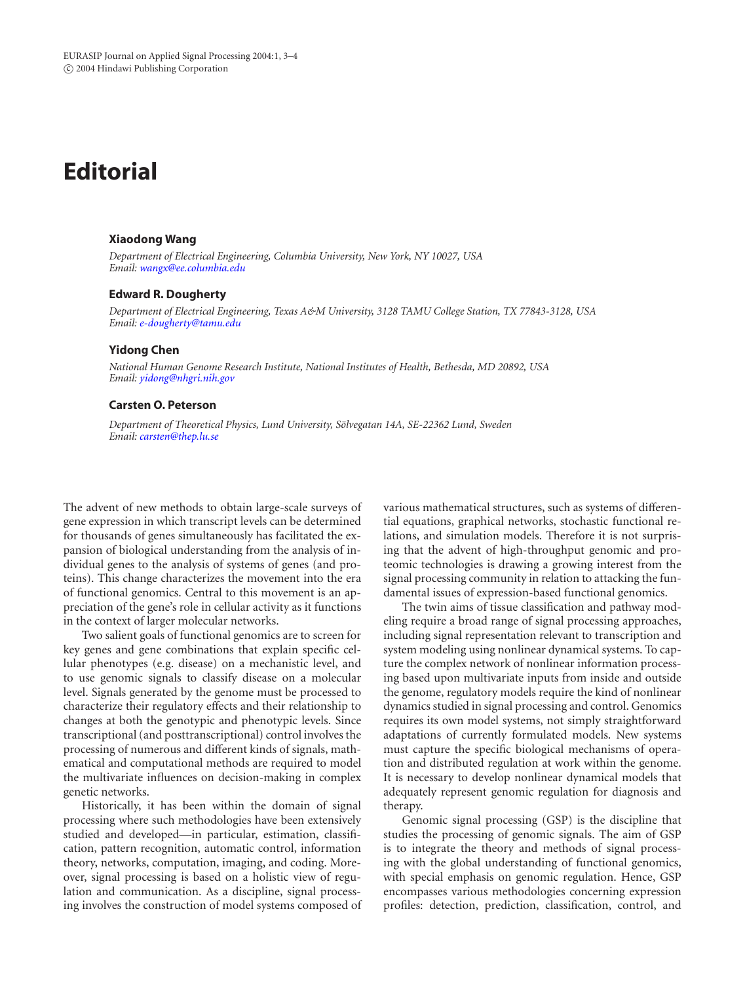# **Editorial**

## **Xiaodong Wang**

*Department of Electrical Engineering, Columbia University, New York, NY 10027, USA Email: [wangx@ee.columbia.edu](mailto:wangx@ee.columbia.edu)*

#### **Edward R. Dougherty**

*Department of Electrical Engineering, Texas A&M University, 3128 TAMU College Station, TX 77843-3128, USA Email: [e-dougherty@tamu.edu](mailto:e-dougherty@tamu.edu)*

## **Yidong Chen**

*National Human Genome Research Institute, National Institutes of Health, Bethesda, MD 20892, USA Email: [yidong@nhgri.nih.gov](mailto:yidong@nhgri.nih.gov)*

### **Carsten O. Peterson**

*Department of Theoretical Physics, Lund University, Solvegatan 14A, SE-22362 Lund, Sweden ¨ Email: [carsten@thep.lu.se](mailto:carsten@thep.lu.se)*

The advent of new methods to obtain large-scale surveys of gene expression in which transcript levels can be determined for thousands of genes simultaneously has facilitated the expansion of biological understanding from the analysis of individual genes to the analysis of systems of genes (and proteins). This change characterizes the movement into the era of functional genomics. Central to this movement is an appreciation of the gene's role in cellular activity as it functions in the context of larger molecular networks.

Two salient goals of functional genomics are to screen for key genes and gene combinations that explain specific cellular phenotypes (e.g. disease) on a mechanistic level, and to use genomic signals to classify disease on a molecular level. Signals generated by the genome must be processed to characterize their regulatory effects and their relationship to changes at both the genotypic and phenotypic levels. Since transcriptional (and posttranscriptional) control involves the processing of numerous and different kinds of signals, mathematical and computational methods are required to model the multivariate influences on decision-making in complex genetic networks.

Historically, it has been within the domain of signal processing where such methodologies have been extensively studied and developed—in particular, estimation, classification, pattern recognition, automatic control, information theory, networks, computation, imaging, and coding. Moreover, signal processing is based on a holistic view of regulation and communication. As a discipline, signal processing involves the construction of model systems composed of

various mathematical structures, such as systems of differential equations, graphical networks, stochastic functional relations, and simulation models. Therefore it is not surprising that the advent of high-throughput genomic and proteomic technologies is drawing a growing interest from the signal processing community in relation to attacking the fundamental issues of expression-based functional genomics.

The twin aims of tissue classification and pathway modeling require a broad range of signal processing approaches, including signal representation relevant to transcription and system modeling using nonlinear dynamical systems. To capture the complex network of nonlinear information processing based upon multivariate inputs from inside and outside the genome, regulatory models require the kind of nonlinear dynamics studied in signal processing and control. Genomics requires its own model systems, not simply straightforward adaptations of currently formulated models. New systems must capture the specific biological mechanisms of operation and distributed regulation at work within the genome. It is necessary to develop nonlinear dynamical models that adequately represent genomic regulation for diagnosis and therapy.

Genomic signal processing (GSP) is the discipline that studies the processing of genomic signals. The aim of GSP is to integrate the theory and methods of signal processing with the global understanding of functional genomics, with special emphasis on genomic regulation. Hence, GSP encompasses various methodologies concerning expression profiles: detection, prediction, classification, control, and